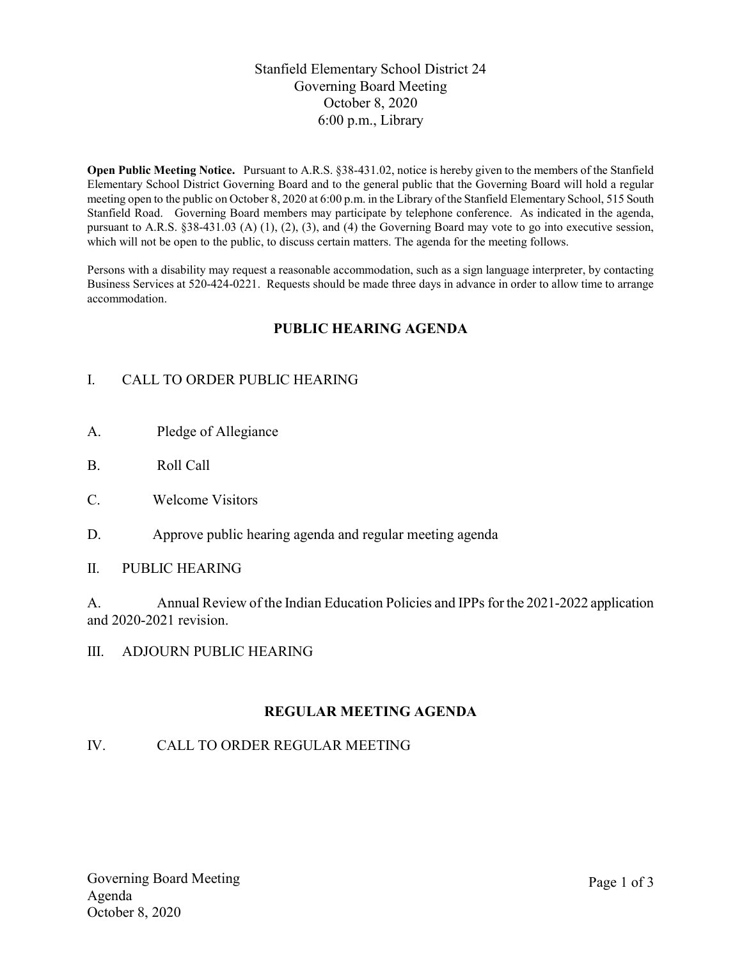# Stanfield Elementary School District 24 Governing Board Meeting October 8, 2020 6:00 p.m., Library

Open Public Meeting Notice. Pursuant to A.R.S. §38-431.02, notice is hereby given to the members of the Stanfield Elementary School District Governing Board and to the general public that the Governing Board will hold a regular meeting open to the public on October 8, 2020 at 6:00 p.m. in the Library of the Stanfield Elementary School, 515 South Stanfield Road. Governing Board members may participate by telephone conference. As indicated in the agenda, pursuant to A.R.S. §38-431.03 (A) (1), (2), (3), and (4) the Governing Board may vote to go into executive session, which will not be open to the public, to discuss certain matters. The agenda for the meeting follows.

Persons with a disability may request a reasonable accommodation, such as a sign language interpreter, by contacting Business Services at 520-424-0221. Requests should be made three days in advance in order to allow time to arrange accommodation.

# PUBLIC HEARING AGENDA

# I. CALL TO ORDER PUBLIC HEARING

- A. Pledge of Allegiance
- B. Roll Call
- C. Welcome Visitors
- D. Approve public hearing agenda and regular meeting agenda
- II. PUBLIC HEARING

A. Annual Review of the Indian Education Policies and IPPs for the 2021-2022 application and 2020-2021 revision.

III. ADJOURN PUBLIC HEARING

# REGULAR MEETING AGENDA

# IV. CALL TO ORDER REGULAR MEETING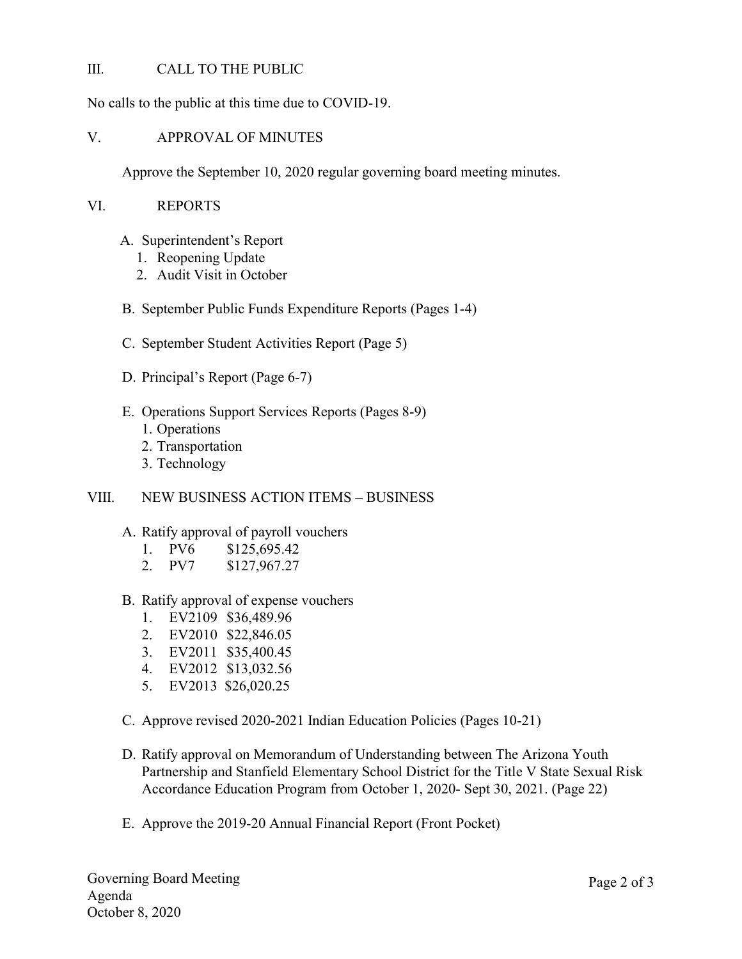### III. CALL TO THE PUBLIC

No calls to the public at this time due to COVID-19.

### V. APPROVAL OF MINUTES

Approve the September 10, 2020 regular governing board meeting minutes.

### VI. REPORTS

- A. Superintendent's Report
	- 1. Reopening Update
	- 2. Audit Visit in October

### B. September Public Funds Expenditure Reports (Pages 1-4)

- C. September Student Activities Report (Page 5)
- D. Principal's Report (Page 6-7)
- E. Operations Support Services Reports (Pages 8-9)
	- 1. Operations
	- 2. Transportation
	- 3. Technology

#### VIII. NEW BUSINESS ACTION ITEMS – BUSINESS

#### A. Ratify approval of payroll vouchers

- 1. PV6 \$125,695.42
- 2. PV7 \$127,967.27
- B. Ratify approval of expense vouchers
	- 1. EV2109 \$36,489.96
	- 2. EV2010 \$22,846.05
	- 3. EV2011 \$35,400.45
	- 4. EV2012 \$13,032.56
	- 5. EV2013 \$26,020.25
- C. Approve revised 2020-2021 Indian Education Policies (Pages 10-21)
- D. Ratify approval on Memorandum of Understanding between The Arizona Youth Partnership and Stanfield Elementary School District for the Title V State Sexual Risk Accordance Education Program from October 1, 2020- Sept 30, 2021. (Page 22)
- E. Approve the 2019-20 Annual Financial Report (Front Pocket)